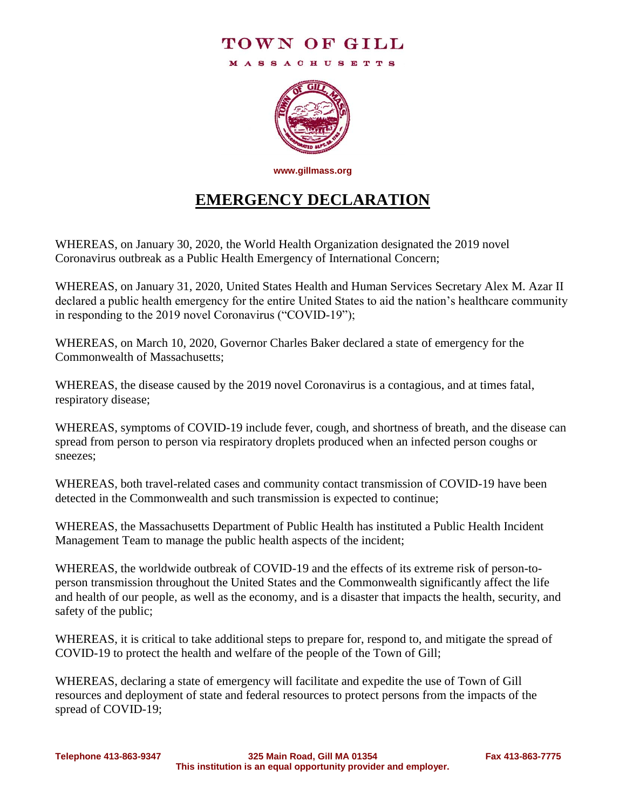## TOWN OF GILL

**MASSACHUSETTS** 



**www.gillmass.org**

## **EMERGENCY DECLARATION**

WHEREAS, on January 30, 2020, the World Health Organization designated the 2019 novel Coronavirus outbreak as a Public Health Emergency of International Concern;

WHEREAS, on January 31, 2020, United States Health and Human Services Secretary Alex M. Azar II declared a public health emergency for the entire United States to aid the nation's healthcare community in responding to the 2019 novel Coronavirus ("COVID-19");

WHEREAS, on March 10, 2020, Governor Charles Baker declared a state of emergency for the Commonwealth of Massachusetts;

WHEREAS, the disease caused by the 2019 novel Coronavirus is a contagious, and at times fatal, respiratory disease;

WHEREAS, symptoms of COVID-19 include fever, cough, and shortness of breath, and the disease can spread from person to person via respiratory droplets produced when an infected person coughs or sneezes;

WHEREAS, both travel-related cases and community contact transmission of COVID-19 have been detected in the Commonwealth and such transmission is expected to continue;

WHEREAS, the Massachusetts Department of Public Health has instituted a Public Health Incident Management Team to manage the public health aspects of the incident;

WHEREAS, the worldwide outbreak of COVID-19 and the effects of its extreme risk of person-toperson transmission throughout the United States and the Commonwealth significantly affect the life and health of our people, as well as the economy, and is a disaster that impacts the health, security, and safety of the public;

WHEREAS, it is critical to take additional steps to prepare for, respond to, and mitigate the spread of COVID-19 to protect the health and welfare of the people of the Town of Gill;

WHEREAS, declaring a state of emergency will facilitate and expedite the use of Town of Gill resources and deployment of state and federal resources to protect persons from the impacts of the spread of COVID-19;